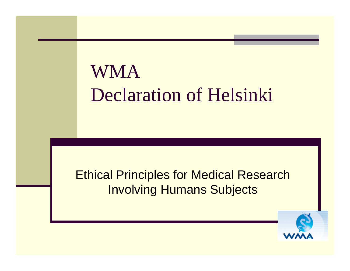# WMA Declaration of Helsinki

Ethical Principles for Medical Research Involving Humans Subjects

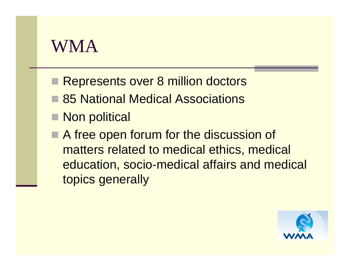# WMA

- **Represents over 8 million doctors**
- **85 National Medical Associations**
- Non political
- A free open forum for the discussion of matters related to medical ethics, medical education, socio-medical affairs and medical topics generally

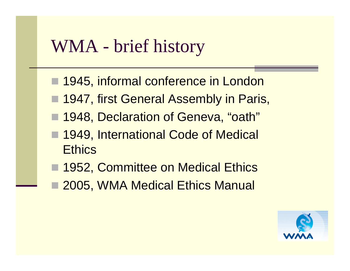## WMA - brief history

- 1945, informal conference in London
- 1947, first General Assembly in Paris,
- 1948, Declaration of Geneva, "oath"
- 1949, International Code of Medical **Ethics**
- 1952, Committee on Medical Ethics
- F 2005, WMA Medical Ethics Manual

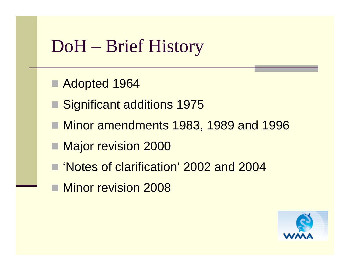# DoH – Brief History

- Adopted 1964
- Significant additions 1975
- Minor amendments 1983, 1989 and 1996
- Major revision 2000
- 'Notes of clarification' 2002 and 2004
- Minor revision 2008

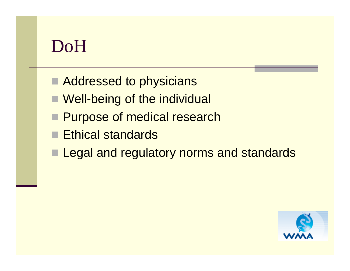# DoH

- Addressed to physicians
- Well-being of the individual
- **Purpose of medical research**
- $\blacksquare$  Ethical standards
- **Legal and regulatory norms and standards**

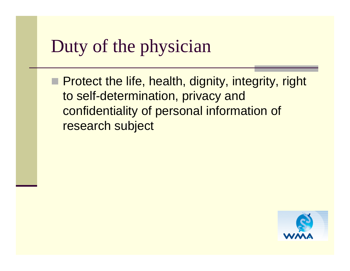# Duty of the physician

**Protect the life, health, dignity, integrity, right** to self-determination, privacy and confidentiality of personal information of research subject

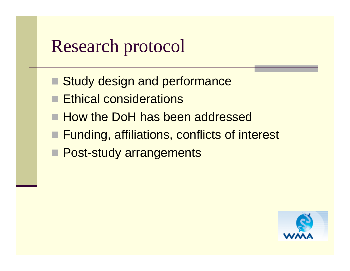# Research protocol

- Study design and performance
- þ. Ethical considerations
- How the DoH has been addressed
- Funding, affiliations, conflicts of interest
- **Post-study arrangements**

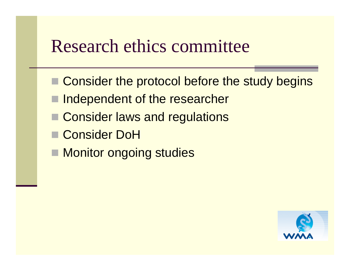#### Research ethics committee

- Consider the protocol before the study begins
- þ. Independent of the researcher
- Consider laws and regulations
- Consider DoH
- Monitor ongoing studies

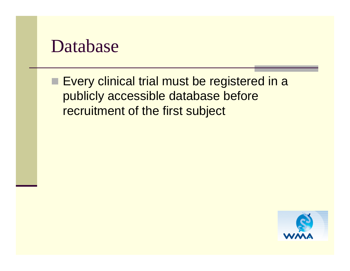#### Database

**Every clinical trial must be registered in a** publicly accessible database before recruitment of the first subject

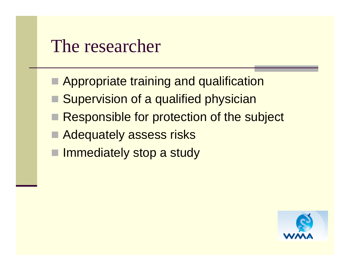## The researcher

- **E** Appropriate training and qualification
- Supervision of a qualified physician
- Responsible for protection of the subject
- **E** Adequately assess risks
- **Immediately stop a study**

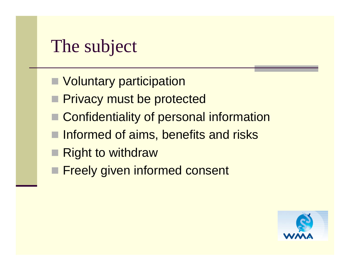# The subject

- **Noluntary participation**
- **Privacy must be protected**
- Confidentiality of personal information
- Informed of aims, benefits and risks
- **Right to withdraw**
- **Freely given informed consent**

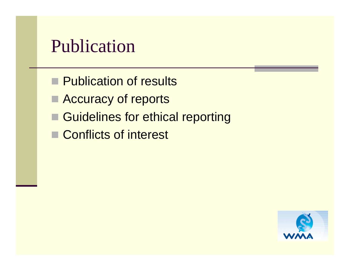# Publication

- **Publication of results**
- **E** Accuracy of reports
- Guidelines for ethical reporting
- Conflicts of interest

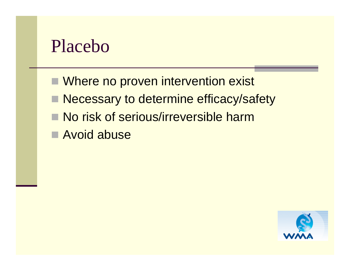## Placebo

- Where no proven intervention exist
- Necessary to determine efficacy/safety
- No risk of serious/irreversible harm
- Avoid abuse